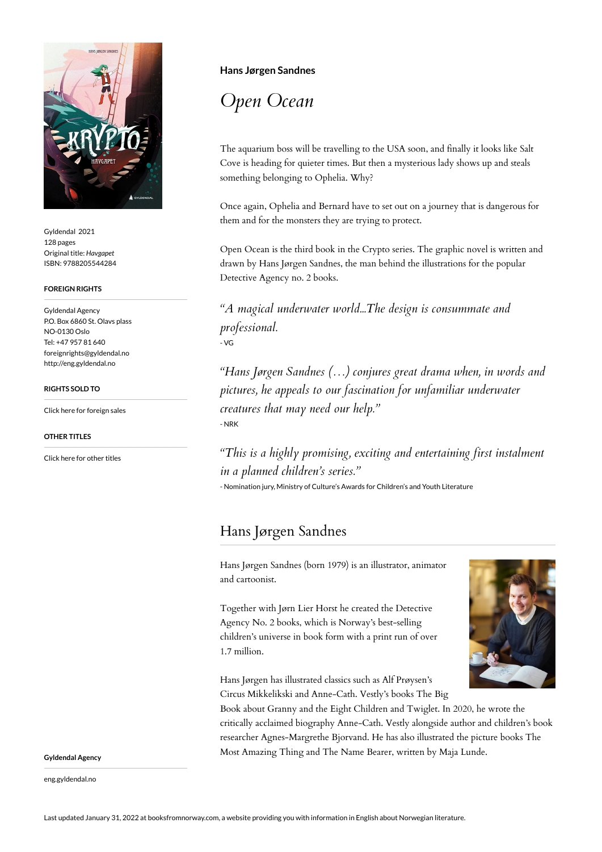

Gyldendal 2021 128 pages Original title: *Havgapet* ISBN: 9788205544284

## **FOREIGN RIGHTS**

Gyldendal Agency P.O. Box 6860 St. Olavs plass NO-0130 Oslo Tel: +47 957 81 640 foreignrights@gyldendal.no http://eng.gyldendal.no

## **RIGHTS SOLD TO**

[Click here for foreign sales](https://agency.gyldendal.no/authors/sandnes-hans-joergen/a-83464-en/)

**OTHER TITLES**

[Click here for other titles](https://agency.gyldendal.no/authors/sandnes-hans-joergen/a-83464-en/)

## **Hans Jørgen Sandnes**

*Open Ocean*

The aquarium boss will be travelling to the USA soon, and finally it looks like Salt Cove is heading for quieter times. But then a mysterious lady shows up and steals something belonging to Ophelia. Why?

Once again, Ophelia and Bernard have to set out on a journey that is dangerous for them and for the monsters they are trying to protect.

Open Ocean is the third book in the Crypto series. The graphic novel is written and drawn by Hans Jørgen Sandnes, the man behind the illustrations for the popular Detective Agency no. 2 books.

*"A magical underwater world...The design is consummate and professional.* - VG

*"Hans Jørgen Sandnes (…) conjures great drama when, in words and pictures, he appeals to our fascination for unfamiliar underwater creatures that may need our help."* - NRK

*"This is a highly promising, exciting and entertaining first instalment in a planned children's series."*

- Nomination jury, Ministry of Culture's Awards for Children's and Youth Literature

## Hans Jørgen Sandnes

Hans Jørgen Sandnes (born 1979) is an illustrator, animator and cartoonist.

Together with Jørn Lier Horst he created the Detective Agency No. 2 books, which is Norway's best-selling children's universe in book form with a print run of over 1.7 million.



Hans Jørgen has illustrated classics such as Alf Prøysen's Circus Mikkelikski and Anne-Cath. Vestly's books The Big

Book about Granny and the Eight Children and Twiglet. In 2020, he wrote the critically acclaimed biography Anne-Cath. Vestly alongside author and children's book researcher Agnes-Margrethe Bjorvand. He has also illustrated the picture books The Most Amazing Thing and The Name Bearer, written by Maja Lunde.

**Gyldendal Agency**

eng.gyldendal.no